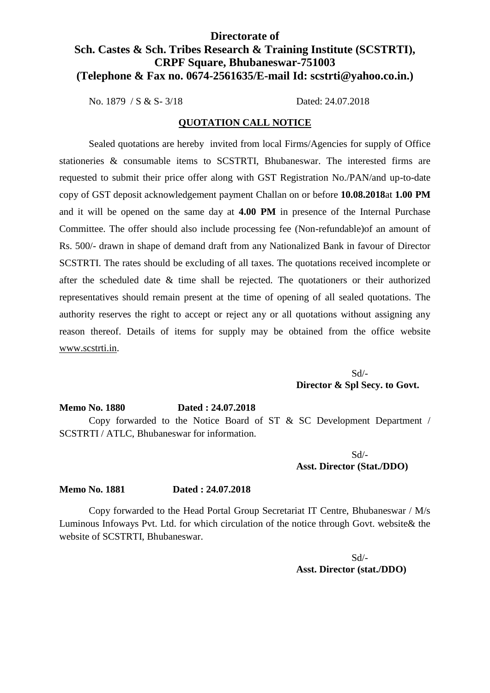## **Directorate of Sch. Castes & Sch. Tribes Research & Training Institute (SCSTRTI), CRPF Square, Bhubaneswar-751003 (Telephone & Fax no. 0674-2561635/E-mail Id: scstrti@yahoo.co.in.)**

No. 1879 / S & S- 3/18 Dated: 24.07.2018

### **QUOTATION CALL NOTICE**

Sealed quotations are hereby invited from local Firms/Agencies for supply of Office stationeries & consumable items to SCSTRTI, Bhubaneswar. The interested firms are requested to submit their price offer along with GST Registration No./PAN/and up-to-date copy of GST deposit acknowledgement payment Challan on or before **10.08.2018**at **1.00 PM** and it will be opened on the same day at **4.00 PM** in presence of the Internal Purchase Committee. The offer should also include processing fee (Non-refundable)of an amount of Rs. 500/- drawn in shape of demand draft from any Nationalized Bank in favour of Director SCSTRTI. The rates should be excluding of all taxes. The quotations received incomplete or after the scheduled date & time shall be rejected. The quotationers or their authorized representatives should remain present at the time of opening of all sealed quotations. The authority reserves the right to accept or reject any or all quotations without assigning any reason thereof. Details of items for supply may be obtained from the office website www.scstrti.in.

> Sd/- **Director & Spl Secy. to Govt.**

## **Memo No. 1880 Dated : 24.07.2018** Copy forwarded to the Notice Board of ST & SC Development Department / SCSTRTI / ATLC, Bhubaneswar for information.

Sd/- **Asst. Director (Stat./DDO)**

#### **Memo No. 1881 Dated : 24.07.2018**

Copy forwarded to the Head Portal Group Secretariat IT Centre, Bhubaneswar / M/s Luminous Infoways Pvt. Ltd. for which circulation of the notice through Govt. website& the website of SCSTRTI, Bhubaneswar.

> Sd/- **Asst. Director (stat./DDO)**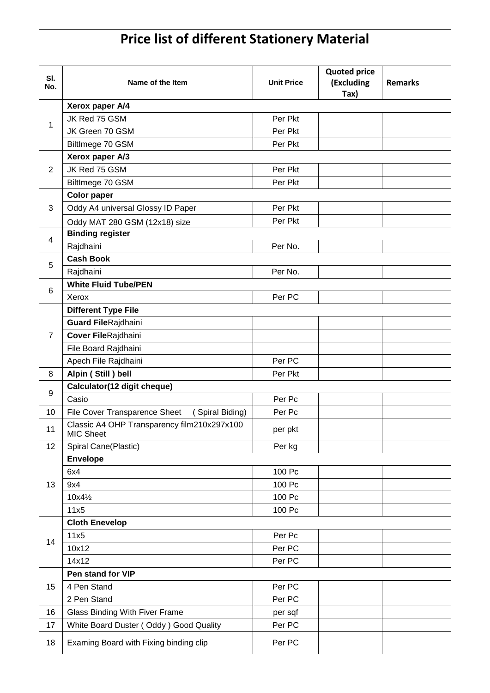# **Price list of different Stationery Material**

| SI.            | Name of the Item                                                | <b>Unit Price</b>           | <b>Quoted price</b><br>(Excluding | <b>Remarks</b> |  |  |
|----------------|-----------------------------------------------------------------|-----------------------------|-----------------------------------|----------------|--|--|
| No.            |                                                                 |                             | Tax)                              |                |  |  |
|                | Xerox paper A/4                                                 |                             |                                   |                |  |  |
|                | JK Red 75 GSM                                                   | Per Pkt                     |                                   |                |  |  |
| 1              | JK Green 70 GSM                                                 | Per Pkt                     |                                   |                |  |  |
|                | BiltImege 70 GSM                                                | Per Pkt                     |                                   |                |  |  |
|                | Xerox paper A/3                                                 |                             |                                   |                |  |  |
| $\overline{2}$ | JK Red 75 GSM                                                   | Per Pkt                     |                                   |                |  |  |
|                | BiltImege 70 GSM                                                | Per Pkt                     |                                   |                |  |  |
|                | <b>Color paper</b>                                              |                             |                                   |                |  |  |
| 3              | Oddy A4 universal Glossy ID Paper                               | Per Pkt                     |                                   |                |  |  |
|                | Oddy MAT 280 GSM (12x18) size                                   | Per Pkt                     |                                   |                |  |  |
| 4              | <b>Binding register</b>                                         |                             |                                   |                |  |  |
|                | Rajdhaini                                                       | Per No.                     |                                   |                |  |  |
| 5              | <b>Cash Book</b>                                                |                             |                                   |                |  |  |
|                | Rajdhaini                                                       | Per No.                     |                                   |                |  |  |
| 6              |                                                                 | <b>White Fluid Tube/PEN</b> |                                   |                |  |  |
|                | Xerox                                                           | Per PC                      |                                   |                |  |  |
|                | <b>Different Type File</b>                                      |                             |                                   |                |  |  |
|                | <b>Guard FileRajdhaini</b>                                      |                             |                                   |                |  |  |
| $\overline{7}$ | Cover FileRajdhaini                                             |                             |                                   |                |  |  |
|                | File Board Rajdhaini                                            |                             |                                   |                |  |  |
|                | Apech File Rajdhaini                                            | Per PC                      |                                   |                |  |  |
| 8              | Alpin (Still) bell                                              | Per Pkt                     |                                   |                |  |  |
| 9              | Calculator(12 digit cheque)                                     |                             |                                   |                |  |  |
|                | Casio                                                           | Per Pc                      |                                   |                |  |  |
| 10             | File Cover Transparence Sheet<br>(Spiral Biding)                | Per Pc                      |                                   |                |  |  |
| 11             | Classic A4 OHP Transparency film210x297x100<br><b>MIC Sheet</b> | per pkt                     |                                   |                |  |  |
| 12             | Spiral Cane(Plastic)                                            | Per kg                      |                                   |                |  |  |
|                | <b>Envelope</b>                                                 |                             |                                   |                |  |  |
|                | 6x4                                                             | 100 Pc                      |                                   |                |  |  |
| 13             | 9x4                                                             | 100 Pc                      |                                   |                |  |  |
|                | 10x41/2                                                         | 100 Pc                      |                                   |                |  |  |
|                | 11x5                                                            | 100 Pc                      |                                   |                |  |  |
|                | <b>Cloth Enevelop</b>                                           |                             |                                   |                |  |  |
| 14             | 11x5                                                            | Per Pc                      |                                   |                |  |  |
|                | 10x12                                                           | Per PC                      |                                   |                |  |  |
|                | 14x12                                                           | Per PC                      |                                   |                |  |  |
| 15             | Pen stand for VIP                                               |                             |                                   |                |  |  |
|                | 4 Pen Stand                                                     | Per PC                      |                                   |                |  |  |
|                | 2 Pen Stand                                                     | Per PC                      |                                   |                |  |  |
| 16             | Glass Binding With Fiver Frame                                  | per sqf                     |                                   |                |  |  |
| 17             | White Board Duster (Oddy) Good Quality                          | Per PC                      |                                   |                |  |  |
| 18             | Examing Board with Fixing binding clip                          | Per PC                      |                                   |                |  |  |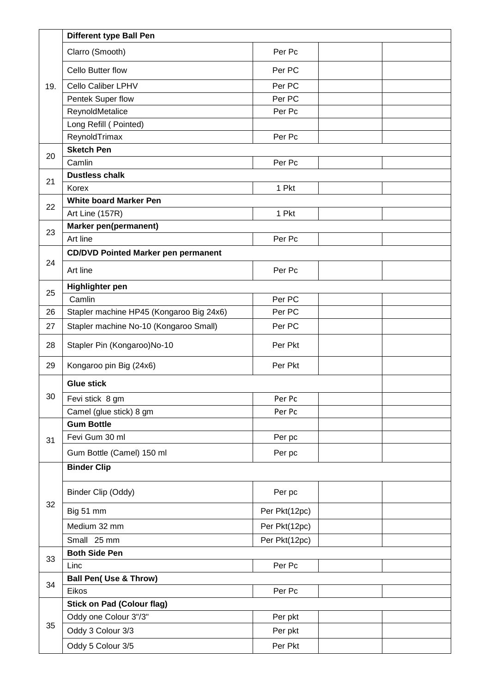|          | <b>Different type Ball Pen</b>             |               |  |  |
|----------|--------------------------------------------|---------------|--|--|
|          | Clarro (Smooth)                            | Per Pc        |  |  |
|          | Cello Butter flow                          | Per PC        |  |  |
| 19.      | Cello Caliber LPHV                         | Per PC        |  |  |
|          | Pentek Super flow                          | Per PC        |  |  |
|          | ReynoldMetalice                            | Per Pc        |  |  |
|          | Long Refill (Pointed)                      |               |  |  |
|          | ReynoldTrimax                              | Per Pc        |  |  |
| 20       | <b>Sketch Pen</b>                          |               |  |  |
|          | Camlin                                     | Per Pc        |  |  |
| 21       | <b>Dustless chalk</b>                      |               |  |  |
|          | Korex                                      | 1 Pkt         |  |  |
| 22       | <b>White board Marker Pen</b>              |               |  |  |
|          | Art Line (157R)                            | 1 Pkt         |  |  |
| 23       | Marker pen(permanent)                      |               |  |  |
|          | Art line                                   | Per Pc        |  |  |
| 24       | <b>CD/DVD Pointed Marker pen permanent</b> |               |  |  |
|          | Art line                                   | Per Pc        |  |  |
| 25       | <b>Highlighter pen</b>                     |               |  |  |
|          | Camlin                                     | Per PC        |  |  |
| 26       | Stapler machine HP45 (Kongaroo Big 24x6)   | Per PC        |  |  |
| 27       | Stapler machine No-10 (Kongaroo Small)     | Per PC        |  |  |
| 28       | Stapler Pin (Kongaroo)No-10                | Per Pkt       |  |  |
| 29       | Kongaroo pin Big (24x6)                    | Per Pkt       |  |  |
|          | <b>Glue stick</b>                          |               |  |  |
| 30       | Fevi stick 8 gm                            | Per Pc        |  |  |
|          | Camel (glue stick) 8 gm                    | Per Pc        |  |  |
|          | <b>Gum Bottle</b>                          |               |  |  |
| 31       | Fevi Gum 30 ml                             | Per pc        |  |  |
|          | Gum Bottle (Camel) 150 ml                  | Per pc        |  |  |
|          | <b>Binder Clip</b>                         |               |  |  |
| 32       | Binder Clip (Oddy)                         | Per pc        |  |  |
|          | Big 51 mm                                  | Per Pkt(12pc) |  |  |
|          | Medium 32 mm                               | Per Pkt(12pc) |  |  |
|          | Small 25 mm                                | Per Pkt(12pc) |  |  |
| 33<br>34 | <b>Both Side Pen</b>                       |               |  |  |
|          | Linc                                       | Per Pc        |  |  |
|          | <b>Ball Pen( Use &amp; Throw)</b>          |               |  |  |
|          | Eikos                                      | Per Pc        |  |  |
| 35       | <b>Stick on Pad (Colour flag)</b>          |               |  |  |
|          | Oddy one Colour 3"/3"                      | Per pkt       |  |  |
|          | Oddy 3 Colour 3/3                          | Per pkt       |  |  |
|          | Oddy 5 Colour 3/5                          | Per Pkt       |  |  |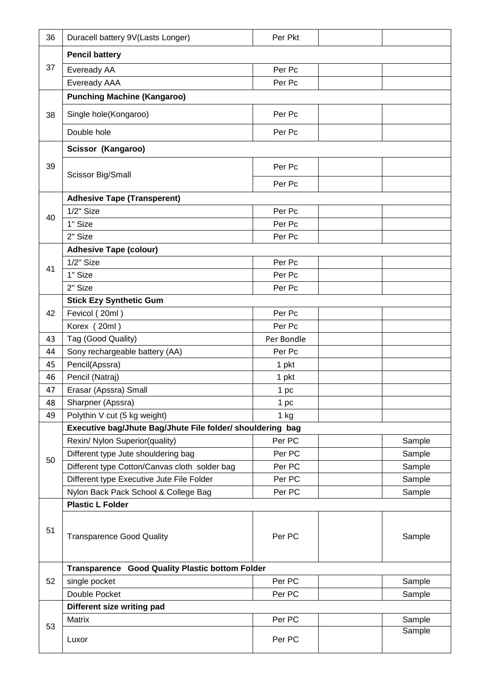| 36 | Duracell battery 9V(Lasts Longer)                          | Per Pkt    |  |        |  |
|----|------------------------------------------------------------|------------|--|--------|--|
|    | <b>Pencil battery</b>                                      |            |  |        |  |
| 37 | Eveready AA                                                | Per Pc     |  |        |  |
|    | Eveready AAA                                               | Per Pc     |  |        |  |
|    | <b>Punching Machine (Kangaroo)</b>                         |            |  |        |  |
| 38 | Single hole(Kongaroo)                                      | Per Pc     |  |        |  |
|    | Double hole                                                | Per Pc     |  |        |  |
|    | Scissor (Kangaroo)                                         |            |  |        |  |
| 39 | Scissor Big/Small                                          | Per Pc     |  |        |  |
|    |                                                            | Per Pc     |  |        |  |
|    | <b>Adhesive Tape (Transperent)</b>                         |            |  |        |  |
| 40 | $1/2$ " Size                                               | Per Pc     |  |        |  |
|    | 1" Size                                                    | Per Pc     |  |        |  |
|    | 2" Size                                                    | Per Pc     |  |        |  |
|    | <b>Adhesive Tape (colour)</b>                              |            |  |        |  |
| 41 | $1/2"$ Size                                                | Per Pc     |  |        |  |
|    | 1" Size                                                    | Per Pc     |  |        |  |
|    | 2" Size                                                    | Per Pc     |  |        |  |
|    | <b>Stick Ezy Synthetic Gum</b>                             |            |  |        |  |
| 42 | Fevicol (20ml)                                             | Per Pc     |  |        |  |
|    | Korex (20ml)                                               | Per Pc     |  |        |  |
| 43 | Tag (Good Quality)                                         | Per Bondle |  |        |  |
| 44 | Sony rechargeable battery (AA)                             | Per Pc     |  |        |  |
| 45 | Pencil(Apssra)                                             | 1 pkt      |  |        |  |
| 46 | Pencil (Natraj)                                            | 1 pkt      |  |        |  |
| 47 | Erasar (Apssra) Small                                      | 1 pc       |  |        |  |
| 48 | Sharpner (Apssra)                                          | 1 pc       |  |        |  |
| 49 | Polythin V cut (5 kg weight)                               | $1$ kg     |  |        |  |
|    | Executive bag/Jhute Bag/Jhute File folder/ shouldering bag |            |  |        |  |
|    | Rexin/ Nylon Superior(quality)                             | Per PC     |  | Sample |  |
| 50 | Different type Jute shouldering bag                        | Per PC     |  | Sample |  |
|    | Different type Cotton/Canvas cloth solder bag              | Per PC     |  | Sample |  |
|    | Different type Executive Jute File Folder                  | Per PC     |  | Sample |  |
|    | Nylon Back Pack School & College Bag                       | Per PC     |  | Sample |  |
| 51 | <b>Plastic L Folder</b>                                    |            |  |        |  |
|    | <b>Transparence Good Quality</b>                           | Per PC     |  | Sample |  |
|    | Transparence Good Quality Plastic bottom Folder            |            |  |        |  |
| 52 | single pocket                                              | Per PC     |  | Sample |  |
|    | Double Pocket                                              | Per PC     |  | Sample |  |
| 53 | Different size writing pad                                 |            |  |        |  |
|    | Matrix                                                     | Per PC     |  | Sample |  |
|    | Luxor                                                      | Per PC     |  | Sample |  |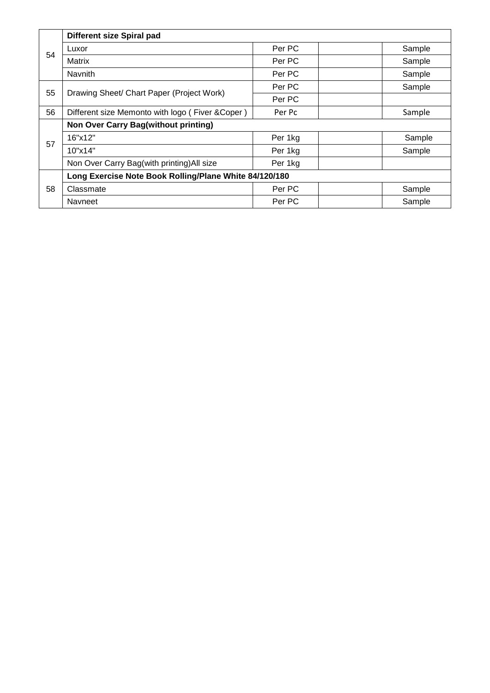| 54 | Different size Spiral pad                              |         |        |  |
|----|--------------------------------------------------------|---------|--------|--|
|    | Luxor                                                  | Per PC  | Sample |  |
|    | Matrix                                                 | Per PC  | Sample |  |
|    | Navnith                                                | Per PC  | Sample |  |
| 55 | Drawing Sheet/ Chart Paper (Project Work)              | Per PC  | Sample |  |
|    |                                                        | Per PC  |        |  |
| 56 | Different size Memonto with logo (Fiver & Coper)       | Per Pc  | Sample |  |
| 57 | Non Over Carry Bag(without printing)                   |         |        |  |
|    | 16"x12"                                                | Per 1kg | Sample |  |
|    | 10"x14"                                                | Per 1kg | Sample |  |
|    | Non Over Carry Bag(with printing) All size             | Per 1kg |        |  |
| 58 | Long Exercise Note Book Rolling/Plane White 84/120/180 |         |        |  |
|    | Classmate                                              | Per PC  | Sample |  |
|    | <b>Navneet</b>                                         | Per PC  | Sample |  |